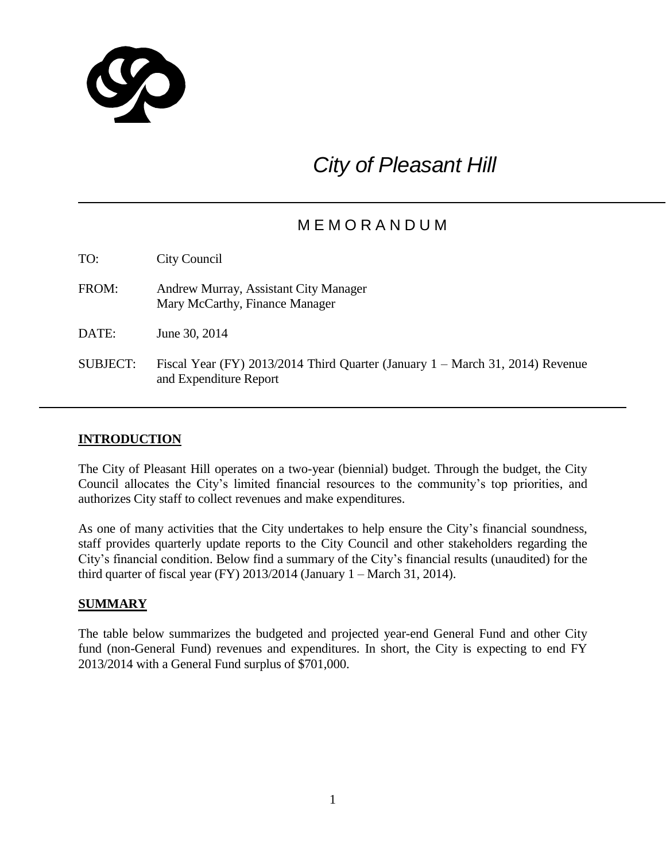

# *City of Pleasant Hill*

# M E M O R A N D U M

| TO:             | City Council                                                                                            |
|-----------------|---------------------------------------------------------------------------------------------------------|
| FROM:           | Andrew Murray, Assistant City Manager<br>Mary McCarthy, Finance Manager                                 |
| DATE:           | June 30, 2014                                                                                           |
| <b>SUBJECT:</b> | Fiscal Year (FY) 2013/2014 Third Quarter (January 1 – March 31, 2014) Revenue<br>and Expenditure Report |

# **INTRODUCTION**

The City of Pleasant Hill operates on a two-year (biennial) budget. Through the budget, the City Council allocates the City's limited financial resources to the community's top priorities, and authorizes City staff to collect revenues and make expenditures.

As one of many activities that the City undertakes to help ensure the City's financial soundness, staff provides quarterly update reports to the City Council and other stakeholders regarding the City's financial condition. Below find a summary of the City's financial results (unaudited) for the third quarter of fiscal year (FY)  $2013/2014$  (January 1 – March 31, 2014).

# **SUMMARY**

The table below summarizes the budgeted and projected year-end General Fund and other City fund (non-General Fund) revenues and expenditures. In short, the City is expecting to end FY 2013/2014 with a General Fund surplus of \$701,000.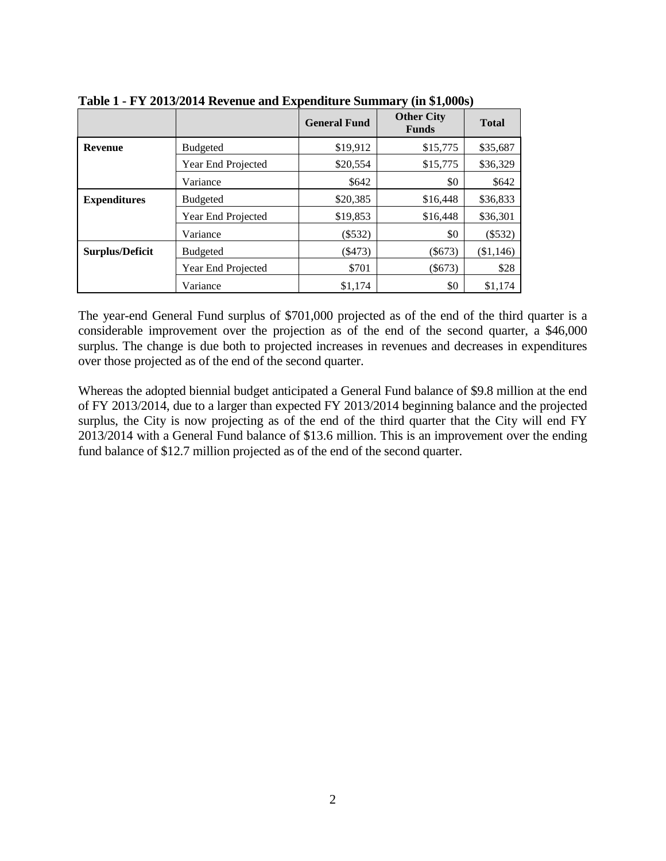|                        |                    | <b>General Fund</b> | <b>Other City</b><br><b>Funds</b> | <b>Total</b> |
|------------------------|--------------------|---------------------|-----------------------------------|--------------|
| <b>Revenue</b>         | <b>Budgeted</b>    | \$19,912            | \$15,775                          | \$35,687     |
|                        | Year End Projected | \$20,554            | \$15,775                          | \$36,329     |
|                        | Variance           | \$642               | \$0                               | \$642        |
| <b>Expenditures</b>    | <b>Budgeted</b>    | \$20,385            | \$16,448                          | \$36,833     |
|                        | Year End Projected | \$19,853            | \$16,448                          | \$36,301     |
|                        | Variance           | $(\$532)$           | \$0                               | (\$532)      |
| <b>Surplus/Deficit</b> | <b>Budgeted</b>    | $(\$473)$           | $($ \$673)                        | (\$1,146)    |
|                        | Year End Projected | \$701               | $(\$673)$                         | \$28         |
|                        | Variance           | \$1,174             | \$0                               | \$1,174      |

**Table 1 - FY 2013/2014 Revenue and Expenditure Summary (in \$1,000s)**

The year-end General Fund surplus of \$701,000 projected as of the end of the third quarter is a considerable improvement over the projection as of the end of the second quarter, a \$46,000 surplus. The change is due both to projected increases in revenues and decreases in expenditures over those projected as of the end of the second quarter.

Whereas the adopted biennial budget anticipated a General Fund balance of \$9.8 million at the end of FY 2013/2014, due to a larger than expected FY 2013/2014 beginning balance and the projected surplus, the City is now projecting as of the end of the third quarter that the City will end FY 2013/2014 with a General Fund balance of \$13.6 million. This is an improvement over the ending fund balance of \$12.7 million projected as of the end of the second quarter.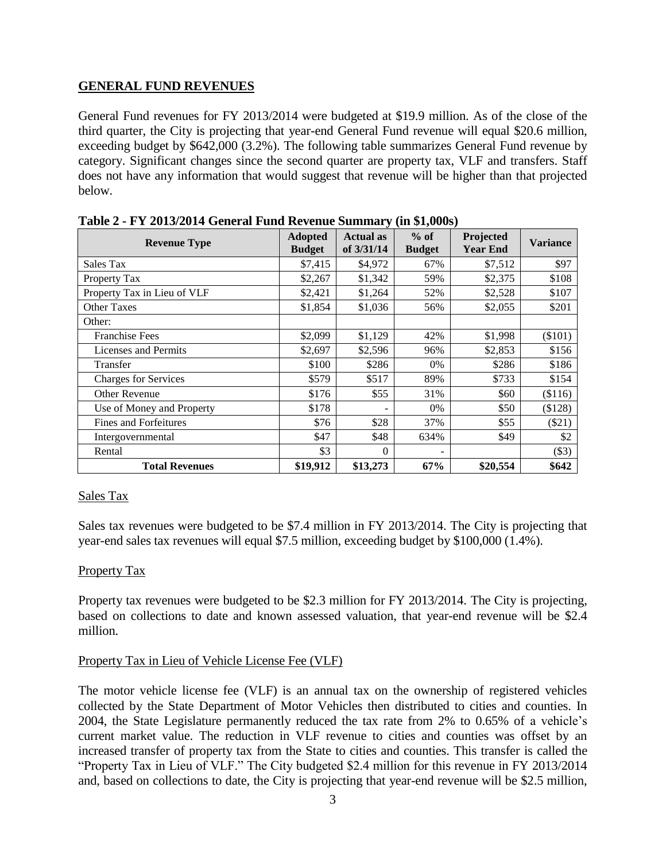#### **GENERAL FUND REVENUES**

General Fund revenues for FY 2013/2014 were budgeted at \$19.9 million. As of the close of the third quarter, the City is projecting that year-end General Fund revenue will equal \$20.6 million, exceeding budget by \$642,000 (3.2%). The following table summarizes General Fund revenue by category. Significant changes since the second quarter are property tax, VLF and transfers. Staff does not have any information that would suggest that revenue will be higher than that projected below.

| <b>Revenue Type</b>          | <b>Adopted</b><br><b>Budget</b> | <b>Actual as</b><br>of $3/31/14$ | $%$ of<br><b>Budget</b> | Projected<br><b>Year End</b> | Variance |
|------------------------------|---------------------------------|----------------------------------|-------------------------|------------------------------|----------|
| Sales Tax                    | \$7,415                         | \$4,972                          | 67%                     | \$7,512                      | \$97     |
| Property Tax                 | \$2,267                         | \$1,342                          | 59%                     | \$2,375                      | \$108    |
| Property Tax in Lieu of VLF  | \$2,421                         | \$1,264                          | 52%                     | \$2,528                      | \$107    |
| <b>Other Taxes</b>           | \$1,854                         | \$1,036                          | 56%                     | \$2,055                      | \$201    |
| Other:                       |                                 |                                  |                         |                              |          |
| <b>Franchise Fees</b>        | \$2,099                         | \$1,129                          | 42%                     | \$1,998                      | (\$101)  |
| <b>Licenses and Permits</b>  | \$2,697                         | \$2,596                          | 96%                     | \$2,853                      | \$156    |
| Transfer                     | \$100                           | \$286                            | $0\%$                   | \$286                        | \$186    |
| <b>Charges for Services</b>  | \$579                           | \$517                            | 89%                     | \$733                        | \$154    |
| <b>Other Revenue</b>         | \$176                           | \$55                             | 31%                     | \$60                         | (\$116)  |
| Use of Money and Property    | \$178                           |                                  | $0\%$                   | \$50                         | \$128    |
| <b>Fines and Forfeitures</b> | \$76                            | \$28                             | 37%                     | \$55                         | (\$21)   |
| Intergovernmental            | \$47                            | \$48                             | 634%                    | \$49                         | \$2      |
| Rental                       | \$3                             | $\Omega$                         |                         |                              | (\$3)    |
| <b>Total Revenues</b>        | \$19,912                        | \$13,273                         | 67%                     | \$20,554                     | \$642    |

**Table 2 - FY 2013/2014 General Fund Revenue Summary (in \$1,000s)**

#### Sales Tax

Sales tax revenues were budgeted to be \$7.4 million in FY 2013/2014. The City is projecting that year-end sales tax revenues will equal \$7.5 million, exceeding budget by \$100,000 (1.4%).

#### Property Tax

Property tax revenues were budgeted to be \$2.3 million for FY 2013/2014. The City is projecting, based on collections to date and known assessed valuation, that year-end revenue will be \$2.4 million.

#### Property Tax in Lieu of Vehicle License Fee (VLF)

The motor vehicle license fee (VLF) is an annual tax on the ownership of registered vehicles collected by the State Department of Motor Vehicles then distributed to cities and counties. In 2004, the State Legislature permanently reduced the tax rate from 2% to 0.65% of a vehicle's current market value. The reduction in VLF revenue to cities and counties was offset by an increased transfer of property tax from the State to cities and counties. This transfer is called the "Property Tax in Lieu of VLF." The City budgeted \$2.4 million for this revenue in FY 2013/2014 and, based on collections to date, the City is projecting that year-end revenue will be \$2.5 million,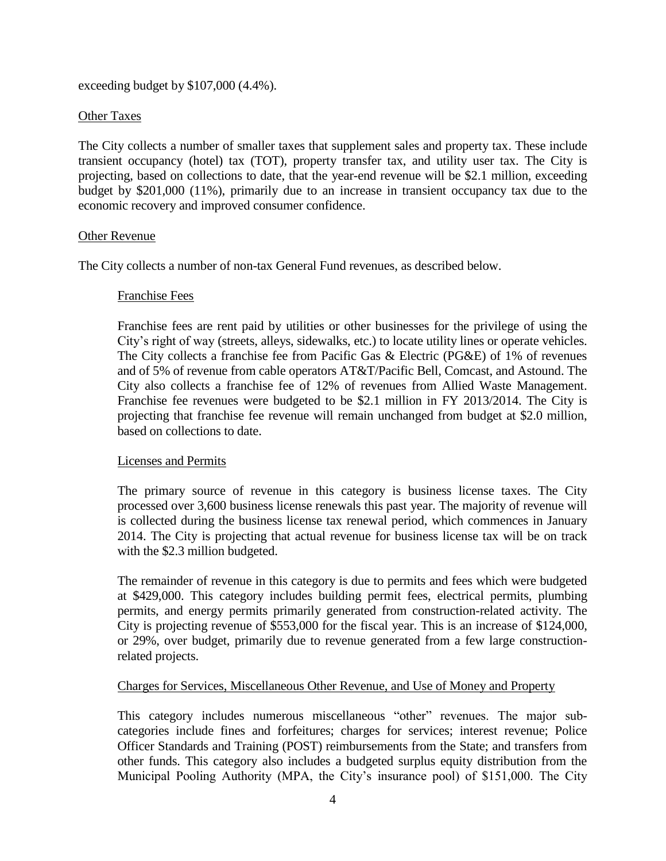exceeding budget by \$107,000 (4.4%).

#### Other Taxes

The City collects a number of smaller taxes that supplement sales and property tax. These include transient occupancy (hotel) tax (TOT), property transfer tax, and utility user tax. The City is projecting, based on collections to date, that the year-end revenue will be \$2.1 million, exceeding budget by \$201,000 (11%), primarily due to an increase in transient occupancy tax due to the economic recovery and improved consumer confidence.

#### Other Revenue

The City collects a number of non-tax General Fund revenues, as described below.

#### Franchise Fees

Franchise fees are rent paid by utilities or other businesses for the privilege of using the City's right of way (streets, alleys, sidewalks, etc.) to locate utility lines or operate vehicles. The City collects a franchise fee from Pacific Gas & Electric (PG&E) of 1% of revenues and of 5% of revenue from cable operators AT&T/Pacific Bell, Comcast, and Astound. The City also collects a franchise fee of 12% of revenues from Allied Waste Management. Franchise fee revenues were budgeted to be \$2.1 million in FY 2013/2014. The City is projecting that franchise fee revenue will remain unchanged from budget at \$2.0 million, based on collections to date.

#### Licenses and Permits

The primary source of revenue in this category is business license taxes. The City processed over 3,600 business license renewals this past year. The majority of revenue will is collected during the business license tax renewal period, which commences in January 2014. The City is projecting that actual revenue for business license tax will be on track with the \$2.3 million budgeted.

The remainder of revenue in this category is due to permits and fees which were budgeted at \$429,000. This category includes building permit fees, electrical permits, plumbing permits, and energy permits primarily generated from construction-related activity. The City is projecting revenue of \$553,000 for the fiscal year. This is an increase of \$124,000, or 29%, over budget, primarily due to revenue generated from a few large constructionrelated projects.

#### Charges for Services, Miscellaneous Other Revenue, and Use of Money and Property

This category includes numerous miscellaneous "other" revenues. The major subcategories include fines and forfeitures; charges for services; interest revenue; Police Officer Standards and Training (POST) reimbursements from the State; and transfers from other funds. This category also includes a budgeted surplus equity distribution from the Municipal Pooling Authority (MPA, the City's insurance pool) of \$151,000. The City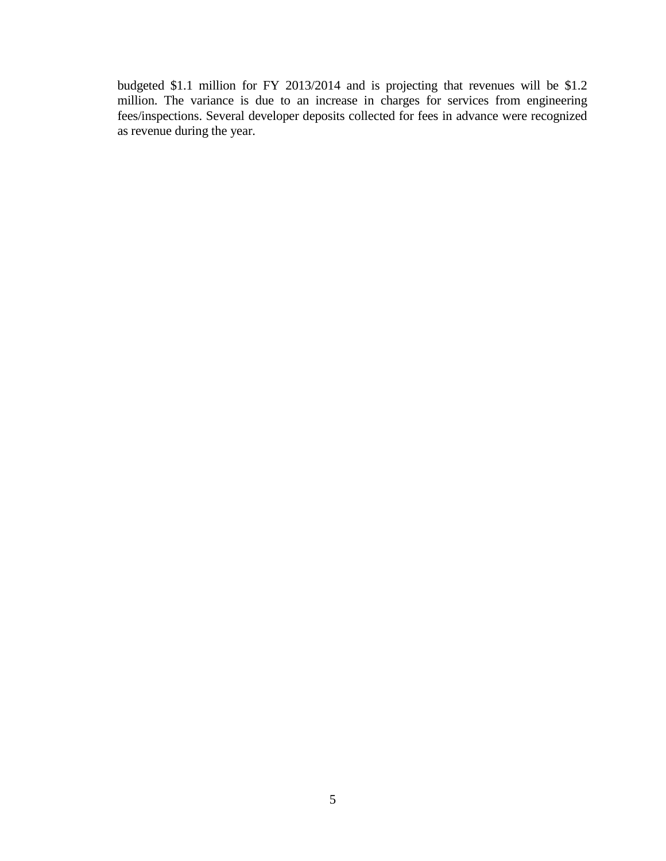budgeted \$1.1 million for FY 2013/2014 and is projecting that revenues will be \$1.2 million. The variance is due to an increase in charges for services from engineering fees/inspections. Several developer deposits collected for fees in advance were recognized as revenue during the year.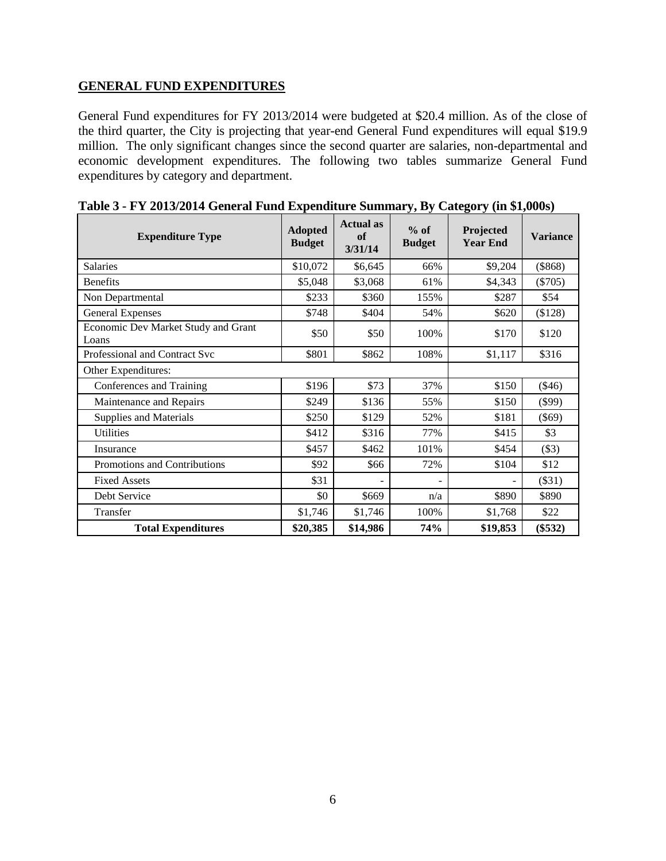#### **GENERAL FUND EXPENDITURES**

General Fund expenditures for FY 2013/2014 were budgeted at \$20.4 million. As of the close of the third quarter, the City is projecting that year-end General Fund expenditures will equal \$19.9 million. The only significant changes since the second quarter are salaries, non-departmental and economic development expenditures. The following two tables summarize General Fund expenditures by category and department.

| <b>Expenditure Type</b>                      | <b>Adopted</b><br><b>Budget</b> | <b>Actual</b> as<br>of<br>3/31/14 | $%$ of<br><b>Budget</b> | Projected<br><b>Year End</b> | <b>Variance</b> |
|----------------------------------------------|---------------------------------|-----------------------------------|-------------------------|------------------------------|-----------------|
| Salaries                                     | \$10,072                        | \$6,645                           | 66%                     | \$9,204                      | (\$868)         |
| <b>Benefits</b>                              | \$5,048                         | \$3,068                           | 61%                     | \$4,343                      | $(\$705)$       |
| Non Departmental                             | \$233                           | \$360                             | 155%                    | \$287                        | \$54            |
| <b>General Expenses</b>                      | \$748                           | \$404                             | 54%                     | \$620                        | (\$128)         |
| Economic Dev Market Study and Grant<br>Loans | \$50                            | \$50                              | 100%                    | \$170                        | \$120           |
| Professional and Contract Svc                | \$801                           | \$862                             | 108%                    | \$1,117                      | \$316           |
| Other Expenditures:                          |                                 |                                   |                         |                              |                 |
| Conferences and Training                     | \$196                           | \$73                              | 37%                     | \$150                        | $(\$46)$        |
| Maintenance and Repairs                      | \$249                           | \$136                             | 55%                     | \$150                        | $(\$99)$        |
| <b>Supplies and Materials</b>                | \$250                           | \$129                             | 52%                     | \$181                        | $(\$69)$        |
| <b>Utilities</b>                             | \$412                           | \$316                             | 77%                     | \$415                        | \$3             |
| Insurance                                    | \$457                           | \$462                             | 101%                    | \$454                        | (\$3)           |
| Promotions and Contributions                 | \$92                            | \$66                              | 72%                     | \$104                        | \$12            |
| <b>Fixed Assets</b>                          | \$31                            |                                   | $\blacksquare$          |                              | $(\$31)$        |
| Debt Service                                 | \$0                             | \$669                             | n/a                     | \$890                        | \$890           |
| Transfer                                     | \$1,746                         | \$1,746                           | 100%                    | \$1,768                      | \$22            |
| <b>Total Expenditures</b>                    | \$20,385                        | \$14,986                          | 74%                     | \$19,853                     | $(\$532)$       |

| Table 3 - FY 2013/2014 General Fund Expenditure Summary, By Category (in \$1,000s) |  |  |  |
|------------------------------------------------------------------------------------|--|--|--|
|                                                                                    |  |  |  |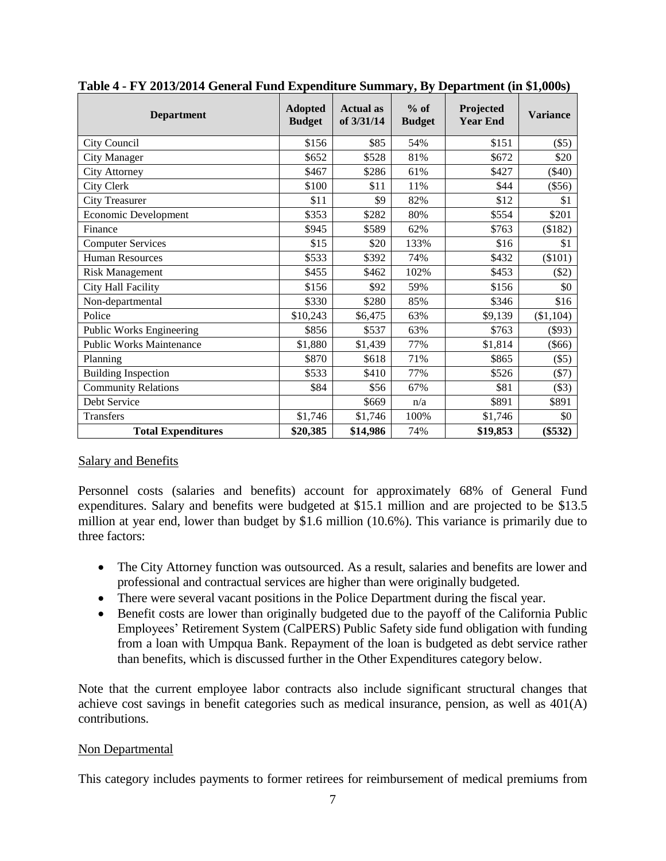| <b>Department</b>               | <b>Adopted</b><br><b>Budget</b> | <b>Actual</b> as<br>of 3/31/14 | $%$ of<br><b>Budget</b> | Projected<br><b>Year End</b> | <b>Variance</b> |
|---------------------------------|---------------------------------|--------------------------------|-------------------------|------------------------------|-----------------|
| City Council                    | \$156                           | \$85                           | 54%                     | \$151                        | $(\$5)$         |
| <b>City Manager</b>             | \$652                           | \$528                          | 81%                     | \$672                        | \$20            |
| <b>City Attorney</b>            | \$467                           | \$286                          | 61%                     | \$427                        | $(\$40)$        |
| City Clerk                      | \$100                           | \$11                           | 11%                     | \$44                         | $(\$56)$        |
| <b>City Treasurer</b>           | \$11                            | \$9                            | 82%                     | \$12                         | \$1             |
| <b>Economic Development</b>     | \$353                           | \$282                          | 80%                     | \$554                        | \$201           |
| Finance                         | \$945                           | \$589                          | 62%                     | \$763                        | (\$182)         |
| <b>Computer Services</b>        | \$15                            | \$20                           | 133%                    | \$16                         | \$1             |
| <b>Human Resources</b>          | \$533                           | \$392                          | 74%                     | \$432                        | (\$101)         |
| <b>Risk Management</b>          | \$455                           | \$462                          | 102%                    | \$453                        | \$2)            |
| City Hall Facility              | \$156                           | \$92                           | 59%                     | \$156                        | \$0             |
| Non-departmental                | \$330                           | \$280                          | 85%                     | \$346                        | \$16            |
| Police                          | \$10,243                        | \$6,475                        | 63%                     | \$9,139                      | (\$1,104)       |
| <b>Public Works Engineering</b> | \$856                           | \$537                          | 63%                     | \$763                        | $(\$93)$        |
| <b>Public Works Maintenance</b> | \$1,880                         | \$1,439                        | 77%                     | \$1,814                      | $(\$66)$        |
| Planning                        | \$870                           | \$618                          | 71%                     | \$865                        | $(\$5)$         |
| <b>Building Inspection</b>      | \$533                           | \$410                          | 77%                     | \$526                        | $($ \$7)        |
| <b>Community Relations</b>      | \$84                            | \$56                           | 67%                     | \$81                         | $(\$3)$         |
| Debt Service                    |                                 | \$669                          | n/a                     | \$891                        | \$891           |
| <b>Transfers</b>                | \$1,746                         | \$1,746                        | 100%                    | \$1,746                      | \$0             |
| <b>Total Expenditures</b>       | \$20,385                        | \$14,986                       | 74%                     | \$19,853                     | $(\$532)$       |

| Table 4 - FY 2013/2014 General Fund Expenditure Summary, By Department (in \$1,000s) |
|--------------------------------------------------------------------------------------|
|--------------------------------------------------------------------------------------|

#### Salary and Benefits

Personnel costs (salaries and benefits) account for approximately 68% of General Fund expenditures. Salary and benefits were budgeted at \$15.1 million and are projected to be \$13.5 million at year end, lower than budget by \$1.6 million (10.6%). This variance is primarily due to three factors:

- The City Attorney function was outsourced. As a result, salaries and benefits are lower and professional and contractual services are higher than were originally budgeted.
- There were several vacant positions in the Police Department during the fiscal year.
- Benefit costs are lower than originally budgeted due to the payoff of the California Public Employees' Retirement System (CalPERS) Public Safety side fund obligation with funding from a loan with Umpqua Bank. Repayment of the loan is budgeted as debt service rather than benefits, which is discussed further in the Other Expenditures category below.

Note that the current employee labor contracts also include significant structural changes that achieve cost savings in benefit categories such as medical insurance, pension, as well as 401(A) contributions.

#### Non Departmental

This category includes payments to former retirees for reimbursement of medical premiums from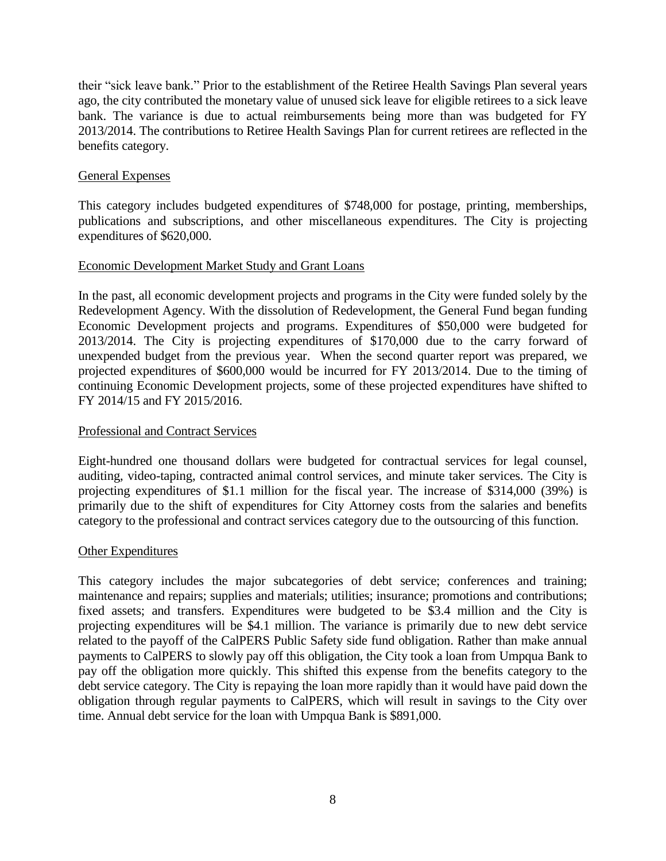their "sick leave bank." Prior to the establishment of the Retiree Health Savings Plan several years ago, the city contributed the monetary value of unused sick leave for eligible retirees to a sick leave bank. The variance is due to actual reimbursements being more than was budgeted for FY 2013/2014. The contributions to Retiree Health Savings Plan for current retirees are reflected in the benefits category.

#### General Expenses

This category includes budgeted expenditures of \$748,000 for postage, printing, memberships, publications and subscriptions, and other miscellaneous expenditures. The City is projecting expenditures of \$620,000.

#### Economic Development Market Study and Grant Loans

In the past, all economic development projects and programs in the City were funded solely by the Redevelopment Agency. With the dissolution of Redevelopment, the General Fund began funding Economic Development projects and programs. Expenditures of \$50,000 were budgeted for 2013/2014. The City is projecting expenditures of \$170,000 due to the carry forward of unexpended budget from the previous year. When the second quarter report was prepared, we projected expenditures of \$600,000 would be incurred for FY 2013/2014. Due to the timing of continuing Economic Development projects, some of these projected expenditures have shifted to FY 2014/15 and FY 2015/2016.

#### Professional and Contract Services

Eight-hundred one thousand dollars were budgeted for contractual services for legal counsel, auditing, video-taping, contracted animal control services, and minute taker services. The City is projecting expenditures of \$1.1 million for the fiscal year. The increase of \$314,000 (39%) is primarily due to the shift of expenditures for City Attorney costs from the salaries and benefits category to the professional and contract services category due to the outsourcing of this function.

#### Other Expenditures

This category includes the major subcategories of debt service; conferences and training; maintenance and repairs; supplies and materials; utilities; insurance; promotions and contributions; fixed assets; and transfers. Expenditures were budgeted to be \$3.4 million and the City is projecting expenditures will be \$4.1 million. The variance is primarily due to new debt service related to the payoff of the CalPERS Public Safety side fund obligation. Rather than make annual payments to CalPERS to slowly pay off this obligation, the City took a loan from Umpqua Bank to pay off the obligation more quickly. This shifted this expense from the benefits category to the debt service category. The City is repaying the loan more rapidly than it would have paid down the obligation through regular payments to CalPERS, which will result in savings to the City over time. Annual debt service for the loan with Umpqua Bank is \$891,000.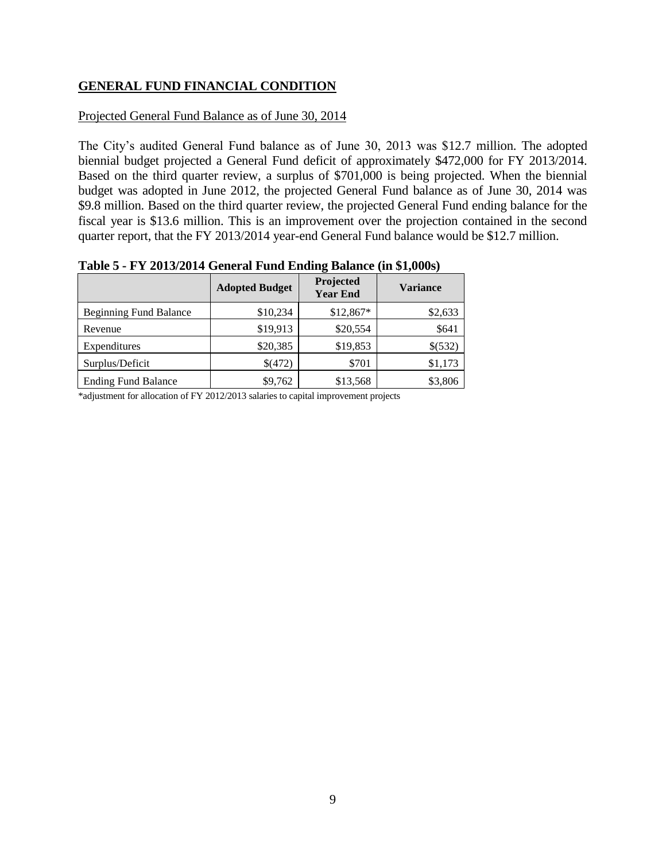# **GENERAL FUND FINANCIAL CONDITION**

#### Projected General Fund Balance as of June 30, 2014

The City's audited General Fund balance as of June 30, 2013 was \$12.7 million. The adopted biennial budget projected a General Fund deficit of approximately \$472,000 for FY 2013/2014. Based on the third quarter review, a surplus of \$701,000 is being projected. When the biennial budget was adopted in June 2012, the projected General Fund balance as of June 30, 2014 was \$9.8 million. Based on the third quarter review, the projected General Fund ending balance for the fiscal year is \$13.6 million. This is an improvement over the projection contained in the second quarter report, that the FY 2013/2014 year-end General Fund balance would be \$12.7 million.

|                               | <b>Adopted Budget</b> | Projected<br><b>Year End</b> | <b>Variance</b> |
|-------------------------------|-----------------------|------------------------------|-----------------|
| <b>Beginning Fund Balance</b> | \$10,234              | $$12,867*$                   | \$2,633         |
| Revenue                       | \$19,913              | \$20,554                     | \$641           |
| Expenditures                  | \$20,385              | \$19,853                     | \$(532)         |
| Surplus/Deficit               | \$(472)               | \$701                        | \$1,173         |
| <b>Ending Fund Balance</b>    | \$9,762               | \$13,568                     | \$3,806         |

**Table 5 - FY 2013/2014 General Fund Ending Balance (in \$1,000s)**

\*adjustment for allocation of FY 2012/2013 salaries to capital improvement projects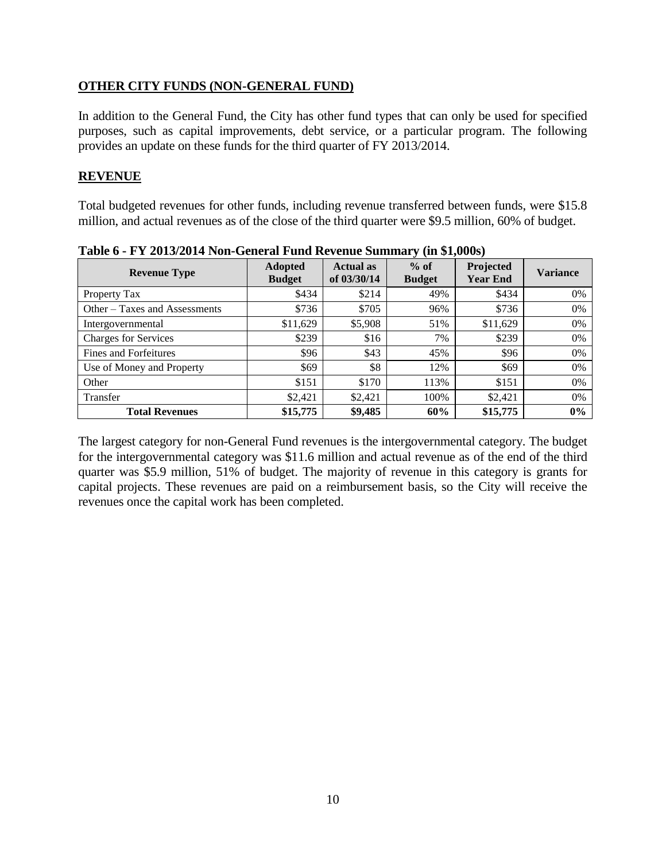#### **OTHER CITY FUNDS (NON-GENERAL FUND)**

In addition to the General Fund, the City has other fund types that can only be used for specified purposes, such as capital improvements, debt service, or a particular program. The following provides an update on these funds for the third quarter of FY 2013/2014.

#### **REVENUE**

Total budgeted revenues for other funds, including revenue transferred between funds, were \$15.8 million, and actual revenues as of the close of the third quarter were \$9.5 million, 60% of budget.

| <b>Revenue Type</b>           | <b>Adopted</b><br><b>Budget</b> | <b>Actual as</b><br>of 03/30/14 | $%$ of<br><b>Budget</b> | Projected<br><b>Year End</b> | <b>Variance</b> |
|-------------------------------|---------------------------------|---------------------------------|-------------------------|------------------------------|-----------------|
| Property Tax                  | \$434                           | \$214                           | 49%                     | \$434                        | 0%              |
| Other – Taxes and Assessments | \$736                           | \$705                           | 96%                     | \$736                        | 0%              |
| Intergovernmental             | \$11,629                        | \$5,908                         | 51%                     | \$11,629                     | $0\%$           |
| <b>Charges for Services</b>   | \$239                           | \$16                            | 7%                      | \$239                        | 0%              |
| <b>Fines and Forfeitures</b>  | \$96                            | \$43                            | 45%                     | \$96                         | 0%              |
| Use of Money and Property     | \$69                            | \$8                             | 12%                     | \$69                         | 0%              |
| Other                         | \$151                           | \$170                           | 113%                    | \$151                        | 0%              |
| Transfer                      | \$2.421                         | \$2,421                         | 100%                    | \$2,421                      | 0%              |
| <b>Total Revenues</b>         | \$15,775                        | \$9,485                         | 60%                     | \$15,775                     | 0%              |

**Table 6 - FY 2013/2014 Non-General Fund Revenue Summary (in \$1,000s)**

The largest category for non-General Fund revenues is the intergovernmental category. The budget for the intergovernmental category was \$11.6 million and actual revenue as of the end of the third quarter was \$5.9 million, 51% of budget. The majority of revenue in this category is grants for capital projects. These revenues are paid on a reimbursement basis, so the City will receive the revenues once the capital work has been completed.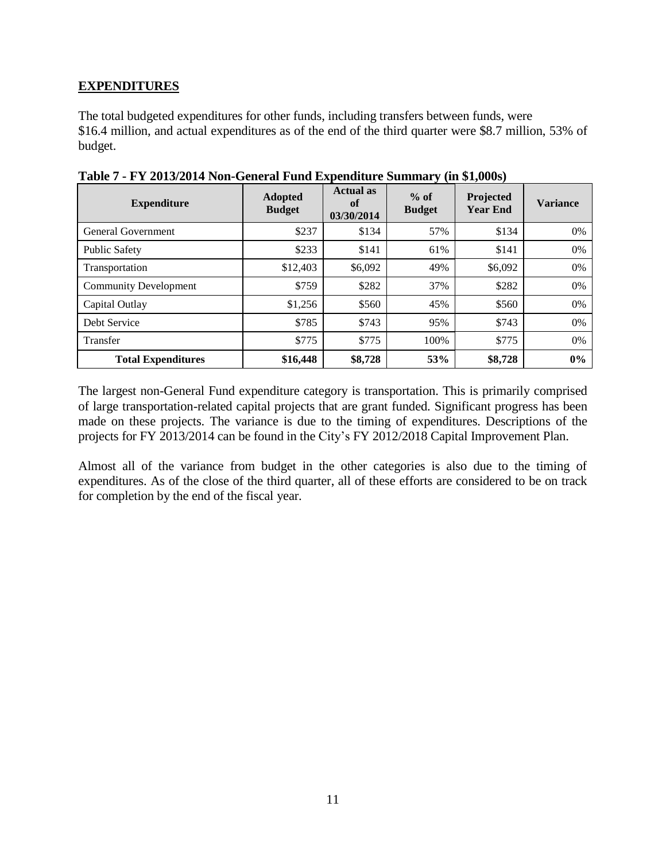# **EXPENDITURES**

The total budgeted expenditures for other funds, including transfers between funds, were \$16.4 million, and actual expenditures as of the end of the third quarter were \$8.7 million, 53% of budget.

| <b>Expenditure</b>           | <b>Adopted</b><br><b>Budget</b> | <b>Actual as</b><br>of<br>03/30/2014 | $\sim$<br>$%$ of<br><b>Budget</b> | $\overline{\phantom{a}}$<br>Projected<br><b>Year End</b> | <b>Variance</b> |
|------------------------------|---------------------------------|--------------------------------------|-----------------------------------|----------------------------------------------------------|-----------------|
| General Government           | \$237                           | \$134                                | 57%                               | \$134                                                    | 0%              |
| <b>Public Safety</b>         | \$233                           | \$141                                | 61%                               | \$141                                                    | 0%              |
| Transportation               | \$12,403                        | \$6,092                              | 49%                               | \$6,092                                                  | 0%              |
| <b>Community Development</b> | \$759                           | \$282                                | 37%                               | \$282                                                    | 0%              |
| Capital Outlay               | \$1,256                         | \$560                                | 45%                               | \$560                                                    | 0%              |
| Debt Service                 | \$785                           | \$743                                | 95%                               | \$743                                                    | 0%              |
| <b>Transfer</b>              | \$775                           | \$775                                | 100%                              | \$775                                                    | 0%              |
| <b>Total Expenditures</b>    | \$16,448                        | \$8,728                              | 53%                               | \$8,728                                                  | 0%              |

**Table 7 - FY 2013/2014 Non-General Fund Expenditure Summary (in \$1,000s)**

The largest non-General Fund expenditure category is transportation. This is primarily comprised of large transportation-related capital projects that are grant funded. Significant progress has been made on these projects. The variance is due to the timing of expenditures. Descriptions of the projects for FY 2013/2014 can be found in the City's FY 2012/2018 Capital Improvement Plan.

Almost all of the variance from budget in the other categories is also due to the timing of expenditures. As of the close of the third quarter, all of these efforts are considered to be on track for completion by the end of the fiscal year.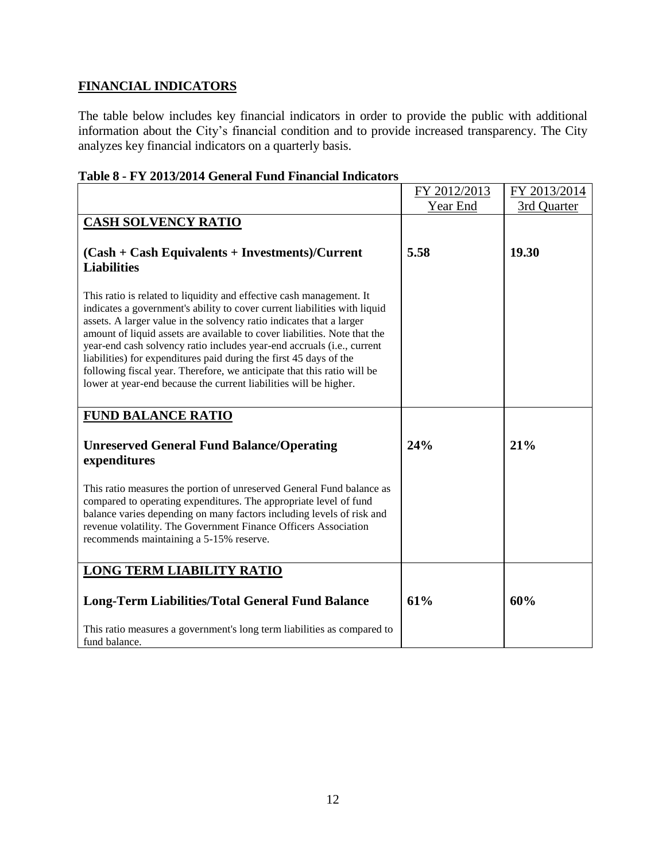# **FINANCIAL INDICATORS**

The table below includes key financial indicators in order to provide the public with additional information about the City's financial condition and to provide increased transparency. The City analyzes key financial indicators on a quarterly basis.

|                                                                                                                                                                                                                                                                                                                                                                                                                                                                                                                                                                                                        | FY 2012/2013 | FY 2013/2014 |
|--------------------------------------------------------------------------------------------------------------------------------------------------------------------------------------------------------------------------------------------------------------------------------------------------------------------------------------------------------------------------------------------------------------------------------------------------------------------------------------------------------------------------------------------------------------------------------------------------------|--------------|--------------|
|                                                                                                                                                                                                                                                                                                                                                                                                                                                                                                                                                                                                        | Year End     | 3rd Quarter  |
| <b>CASH SOLVENCY RATIO</b><br>$(Cash + Cash$ Equivalents + Investments)/Current<br><b>Liabilities</b>                                                                                                                                                                                                                                                                                                                                                                                                                                                                                                  | 5.58         | 19.30        |
| This ratio is related to liquidity and effective cash management. It<br>indicates a government's ability to cover current liabilities with liquid<br>assets. A larger value in the solvency ratio indicates that a larger<br>amount of liquid assets are available to cover liabilities. Note that the<br>year-end cash solvency ratio includes year-end accruals (i.e., current<br>liabilities) for expenditures paid during the first 45 days of the<br>following fiscal year. Therefore, we anticipate that this ratio will be<br>lower at year-end because the current liabilities will be higher. |              |              |
| <b>FUND BALANCE RATIO</b>                                                                                                                                                                                                                                                                                                                                                                                                                                                                                                                                                                              |              |              |
| <b>Unreserved General Fund Balance/Operating</b><br>expenditures                                                                                                                                                                                                                                                                                                                                                                                                                                                                                                                                       | 24%          | 21%          |
| This ratio measures the portion of unreserved General Fund balance as<br>compared to operating expenditures. The appropriate level of fund<br>balance varies depending on many factors including levels of risk and<br>revenue volatility. The Government Finance Officers Association<br>recommends maintaining a 5-15% reserve.                                                                                                                                                                                                                                                                      |              |              |
| <b>LONG TERM LIABILITY RATIO</b>                                                                                                                                                                                                                                                                                                                                                                                                                                                                                                                                                                       |              |              |
| <b>Long-Term Liabilities/Total General Fund Balance</b>                                                                                                                                                                                                                                                                                                                                                                                                                                                                                                                                                | 61%          | 60%          |
| This ratio measures a government's long term liabilities as compared to<br>fund balance.                                                                                                                                                                                                                                                                                                                                                                                                                                                                                                               |              |              |

#### **Table 8 - FY 2013/2014 General Fund Financial Indicators**